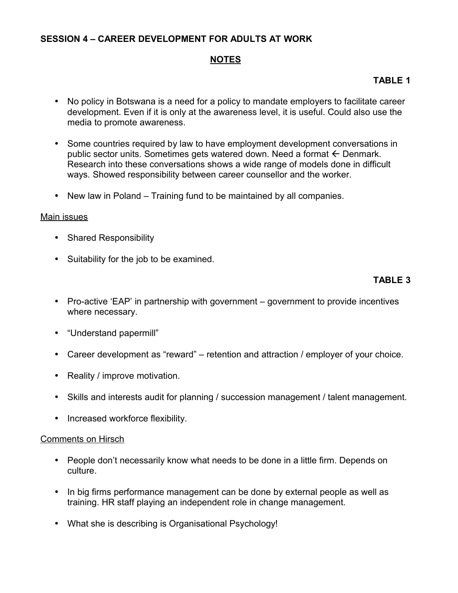### **SESSION 4 – CAREER DEVELOPMENT FOR ADULTS AT WORK**

## **NOTES**

# **TABLE 1**

- No policy in Botswana is a need for a policy to mandate employers to facilitate career development. Even if it is only at the awareness level, it is useful. Could also use the media to promote awareness.
- Some countries required by law to have employment development conversations in public sector units. Sometimes gets watered down. Need a format  $\leftarrow$  Denmark. Research into these conversations shows a wide range of models done in difficult ways. Showed responsibility between career counsellor and the worker.
- New law in Poland Training fund to be maintained by all companies.

#### Main issues

- Shared Responsibility
- Suitability for the job to be examined.

## **TABLE 3**

- Pro-active 'EAP' in partnership with government government to provide incentives where necessary.
- "Understand papermill"
- Career development as "reward" retention and attraction / employer of your choice.
- Reality / improve motivation.
- Skills and interests audit for planning / succession management / talent management.
- Increased workforce flexibility.

#### Comments on Hirsch

- People don't necessarily know what needs to be done in a little firm. Depends on culture.
- In big firms performance management can be done by external people as well as training. HR staff playing an independent role in change management.
- What she is describing is Organisational Psychology!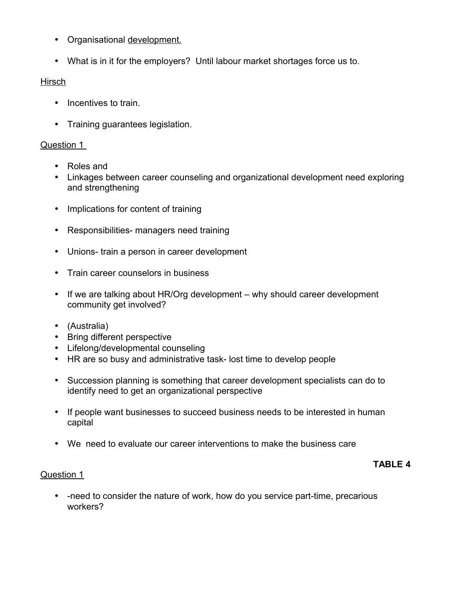- Organisational development.
- What is in it for the employers? Until labour market shortages force us to.

# Hirsch

- Incentives to train.
- Training guarantees legislation.

# Question 1

- Roles and
- Linkages between career counseling and organizational development need exploring and strengthening
- Implications for content of training
- Responsibilities- managers need training
- Unions- train a person in career development
- Train career counselors in business
- If we are talking about HR/Org development why should career development community get involved?
- (Australia)
- Bring different perspective
- Lifelong/developmental counseling
- HR are so busy and administrative task- lost time to develop people
- Succession planning is something that career development specialists can do to identify need to get an organizational perspective
- If people want businesses to succeed business needs to be interested in human capital
- We need to evaluate our career interventions to make the business care

## **TABLE 4**

## Question 1

• -need to consider the nature of work, how do you service part-time, precarious workers?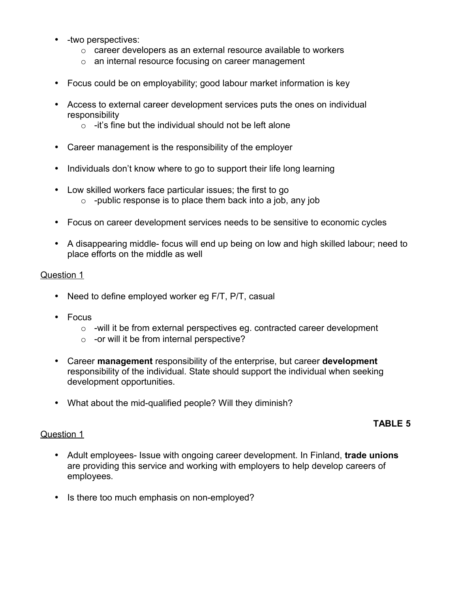- -two perspectives:
	- $\circ$  career developers as an external resource available to workers
	- o an internal resource focusing on career management
- Focus could be on employability; good labour market information is key
- Access to external career development services puts the ones on individual responsibility
	- $\circ$  -it's fine but the individual should not be left alone
- Career management is the responsibility of the employer
- Individuals don't know where to go to support their life long learning
- Low skilled workers face particular issues; the first to go  $\circ$  -public response is to place them back into a job, any job
- Focus on career development services needs to be sensitive to economic cycles
- A disappearing middle- focus will end up being on low and high skilled labour; need to place efforts on the middle as well

#### Question 1

- Need to define employed worker eg F/T, P/T, casual
- Focus
	- $\circ$  -will it be from external perspectives eg. contracted career development
	- o -or will it be from internal perspective?
- Career **management** responsibility of the enterprise, but career **development** responsibility of the individual. State should support the individual when seeking development opportunities.
- What about the mid-qualified people? Will they diminish?

## **TABLE 5**

#### Question 1

- Adult employees- Issue with ongoing career development. In Finland, **trade unions** are providing this service and working with employers to help develop careers of employees.
- Is there too much emphasis on non-employed?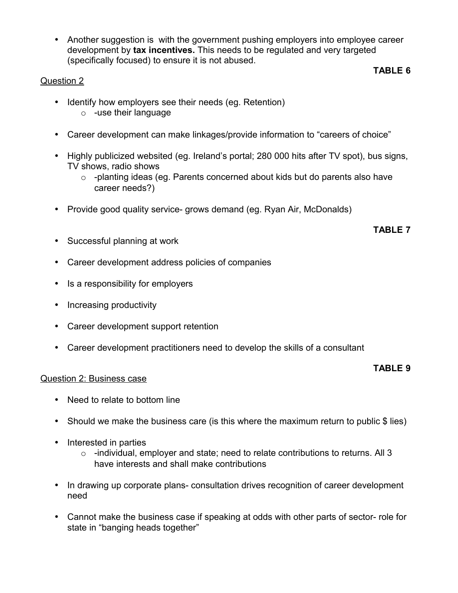• Another suggestion is with the government pushing employers into employee career development by **tax incentives.** This needs to be regulated and very targeted (specifically focused) to ensure it is not abused. **TABLE 6**

## Question 2

- Identify how employers see their needs (eg. Retention) o -use their language
- Career development can make linkages/provide information to "careers of choice"
- Highly publicized websited (eg. Ireland's portal; 280 000 hits after TV spot), bus signs, TV shows, radio shows
	- o -planting ideas (eg. Parents concerned about kids but do parents also have career needs?)
- Provide good quality service- grows demand (eg. Ryan Air, McDonalds)

## **TABLE 7**

- Successful planning at work
- Career development address policies of companies
- Is a responsibility for employers
- Increasing productivity
- Career development support retention
- Career development practitioners need to develop the skills of a consultant

#### **TABLE 9**

#### Question 2: Business case

- Need to relate to bottom line
- Should we make the business care (is this where the maximum return to public \$ lies)
- Interested in parties
	- o -individual, employer and state; need to relate contributions to returns. All 3 have interests and shall make contributions
- In drawing up corporate plans- consultation drives recognition of career development need
- Cannot make the business case if speaking at odds with other parts of sector- role for state in "banging heads together"